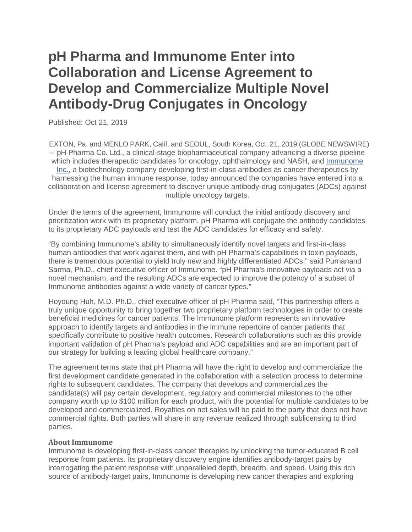## **pH Pharma and Immunome Enter into Collaboration and License Agreement to Develop and Commercialize Multiple Novel Antibody-Drug Conjugates in Oncology**

Published: Oct 21, 2019

 EXTON, Pa. and MENLO PARK, Calif. and SEOUL, South Korea, Oct. 21, 2019 (GLOBE NEWSWIRE) -- pH Pharma Co. Ltd., a clinical-stage biopharmaceutical company advancing a diverse pipeline which includes therapeutic candidates for oncology, ophthalmology and NASH, and [Immunome](https://www.biospace.com/employer/531544/immunome-inc-/) [Inc.,](https://www.biospace.com/employer/531544/immunome-inc-/) a biotechnology company developing first-in-class antibodies as cancer therapeutics by harnessing the human immune response, today announced the companies have entered into a collaboration and license agreement to discover unique antibody-drug conjugates (ADCs) against multiple oncology targets.

Under the terms of the agreement, Immunome will conduct the initial antibody discovery and prioritization work with its proprietary platform. pH Pharma will conjugate the antibody candidates to its proprietary ADC payloads and test the ADC candidates for efficacy and safety.

"By combining Immunome's ability to simultaneously identify novel targets and first-in-class human antibodies that work against them, and with pH Pharma's capabilities in toxin payloads, there is tremendous potential to yield truly new and highly differentiated ADCs," said Purnanand Sarma, Ph.D., chief executive officer of Immunome. "pH Pharma's innovative payloads act via a novel mechanism, and the resulting ADCs are expected to improve the potency of a subset of Immunome antibodies against a wide variety of cancer types."

Hoyoung Huh, M.D. Ph.D., chief executive officer of pH Pharma said, "This partnership offers a truly unique opportunity to bring together two proprietary platform technologies in order to create beneficial medicines for cancer patients. The Immunome platform represents an innovative approach to identify targets and antibodies in the immune repertoire of cancer patients that specifically contribute to positive health outcomes. Research collaborations such as this provide important validation of pH Pharma's payload and ADC capabilities and are an important part of our strategy for building a leading global healthcare company."

The agreement terms state that pH Pharma will have the right to develop and commercialize the first development candidate generated in the collaboration with a selection process to determine rights to subsequent candidates. The company that develops and commercializes the candidate(s) will pay certain development, regulatory and commercial milestones to the other company worth up to \$100 million for each product, with the potential for multiple candidates to be developed and commercialized. Royalties on net sales will be paid to the party that does not have commercial rights. Both parties will share in any revenue realized through sublicensing to third parties.

## **About Immunome**

Immunome is developing first-in-class cancer therapies by unlocking the tumor-educated B cell response from patients. Its proprietary discovery engine identifies antibody-target pairs by interrogating the patient response with unparalleled depth, breadth, and speed. Using this rich source of antibody-target pairs, Immunome is developing new cancer therapies and exploring